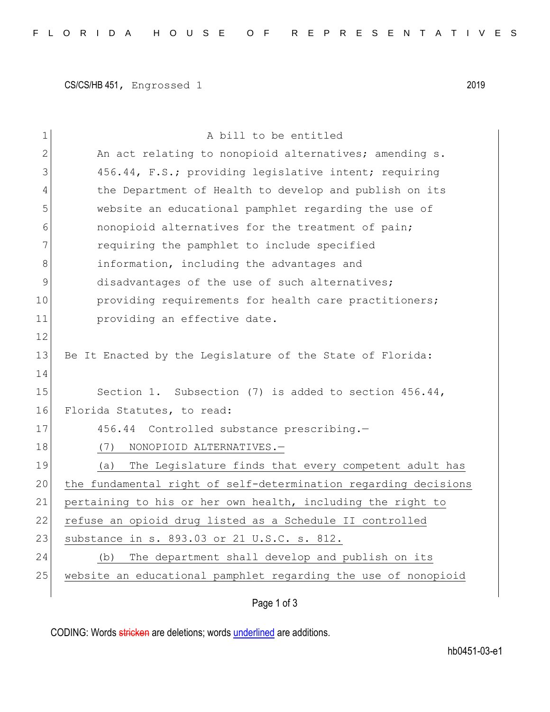CS/CS/HB 451, Engrossed 1 2019

| $\mathbf 1$ | A bill to be entitled                                           |
|-------------|-----------------------------------------------------------------|
| 2           | An act relating to nonopioid alternatives; amending s.          |
| 3           | 456.44, F.S.; providing legislative intent; requiring           |
| 4           | the Department of Health to develop and publish on its          |
| 5           | website an educational pamphlet regarding the use of            |
| 6           | nonopioid alternatives for the treatment of pain;               |
| 7           | requiring the pamphlet to include specified                     |
| 8           | information, including the advantages and                       |
| 9           | disadvantages of the use of such alternatives;                  |
| 10          | providing requirements for health care practitioners;           |
| 11          | providing an effective date.                                    |
| 12          |                                                                 |
| 13          | Be It Enacted by the Legislature of the State of Florida:       |
| 14          |                                                                 |
| 15          | Section 1. Subsection (7) is added to section $456.44$ ,        |
| 16          | Florida Statutes, to read:                                      |
| 17          | 456.44 Controlled substance prescribing.-                       |
| 18          | NONOPIOID ALTERNATIVES.-<br>(7)                                 |
| 19          | The Legislature finds that every competent adult has<br>(a)     |
| 20          | the fundamental right of self-determination regarding decisions |
| 21          | pertaining to his or her own health, including the right to     |
| 22          | refuse an opioid drug listed as a Schedule II controlled        |
| 23          | substance in s. 893.03 or 21 U.S.C. s. 812.                     |
| 24          | The department shall develop and publish on its<br>(b)          |
| 25          | website an educational pamphlet regarding the use of nonopioid  |
|             |                                                                 |

## Page 1 of 3

CODING: Words stricken are deletions; words underlined are additions.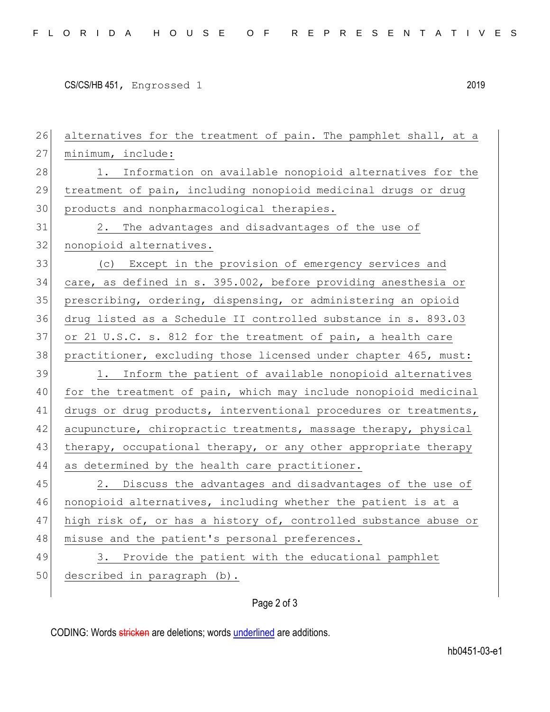CS/CS/HB 451, Engrossed 1 2019

26 alternatives for the treatment of pain. The pamphlet shall, at a 27 minimum, include: 28 1. Information on available nonopioid alternatives for the 29 treatment of pain, including nonopioid medicinal drugs or drug 30 products and nonpharmacological therapies. 31 2. The advantages and disadvantages of the use of 32 nonopioid alternatives. 33 (c) Except in the provision of emergency services and 34 care, as defined in s. 395.002, before providing anesthesia or 35 prescribing, ordering, dispensing, or administering an opioid 36 drug listed as a Schedule II controlled substance in s. 893.03 37 or 21 U.S.C. s. 812 for the treatment of pain, a health care 38 practitioner, excluding those licensed under chapter 465, must: 39 1. Inform the patient of available nonopioid alternatives 40 for the treatment of pain, which may include nonopioid medicinal 41 drugs or drug products, interventional procedures or treatments, 42 acupuncture, chiropractic treatments, massage therapy, physical 43 therapy, occupational therapy, or any other appropriate therapy 44 as determined by the health care practitioner. 45 2. Discuss the advantages and disadvantages of the use of 46 nonopioid alternatives, including whether the patient is at a 47 high risk of, or has a history of, controlled substance abuse or 48 misuse and the patient's personal preferences. 49 3. Provide the patient with the educational pamphlet 50 described in paragraph (b).

Page 2 of 3

CODING: Words stricken are deletions; words underlined are additions.